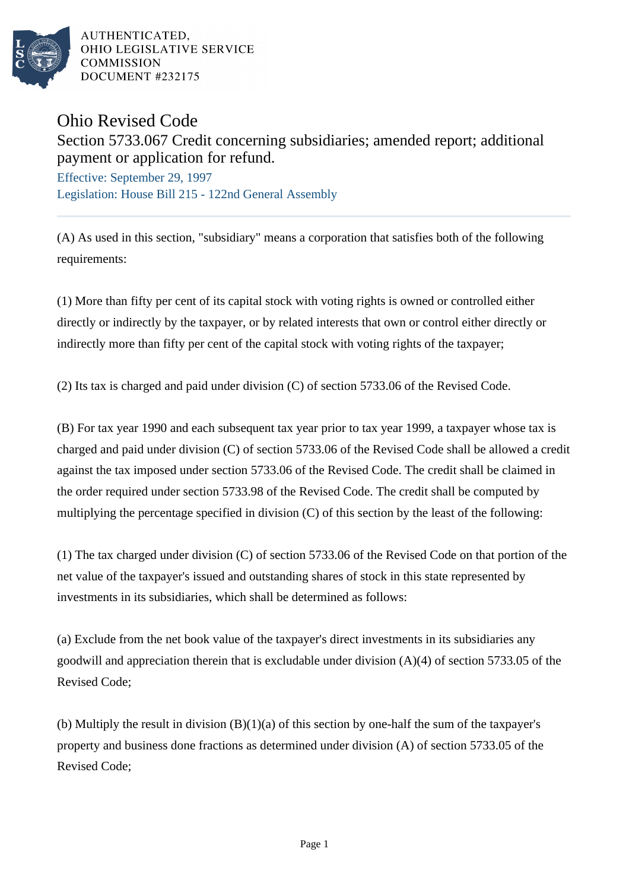

AUTHENTICATED. OHIO LEGISLATIVE SERVICE **COMMISSION** DOCUMENT #232175

## Ohio Revised Code

Section 5733.067 Credit concerning subsidiaries; amended report; additional payment or application for refund.

Effective: September 29, 1997 Legislation: House Bill 215 - 122nd General Assembly

(A) As used in this section, "subsidiary" means a corporation that satisfies both of the following requirements:

(1) More than fifty per cent of its capital stock with voting rights is owned or controlled either directly or indirectly by the taxpayer, or by related interests that own or control either directly or indirectly more than fifty per cent of the capital stock with voting rights of the taxpayer;

(2) Its tax is charged and paid under division (C) of section 5733.06 of the Revised Code.

(B) For tax year 1990 and each subsequent tax year prior to tax year 1999, a taxpayer whose tax is charged and paid under division (C) of section 5733.06 of the Revised Code shall be allowed a credit against the tax imposed under section 5733.06 of the Revised Code. The credit shall be claimed in the order required under section 5733.98 of the Revised Code. The credit shall be computed by multiplying the percentage specified in division (C) of this section by the least of the following:

(1) The tax charged under division (C) of section 5733.06 of the Revised Code on that portion of the net value of the taxpayer's issued and outstanding shares of stock in this state represented by investments in its subsidiaries, which shall be determined as follows:

(a) Exclude from the net book value of the taxpayer's direct investments in its subsidiaries any goodwill and appreciation therein that is excludable under division  $(A)(4)$  of section 5733.05 of the Revised Code;

(b) Multiply the result in division  $(B)(1)(a)$  of this section by one-half the sum of the taxpayer's property and business done fractions as determined under division (A) of section 5733.05 of the Revised Code;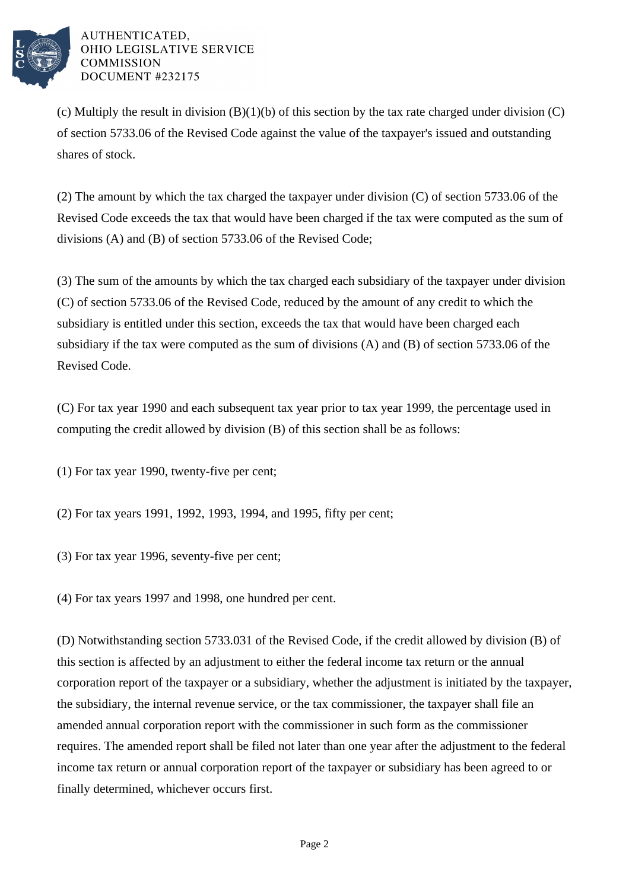

## AUTHENTICATED. OHIO LEGISLATIVE SERVICE **COMMISSION** DOCUMENT #232175

(c) Multiply the result in division  $(B)(1)(b)$  of this section by the tax rate charged under division  $(C)$ of section 5733.06 of the Revised Code against the value of the taxpayer's issued and outstanding shares of stock.

(2) The amount by which the tax charged the taxpayer under division (C) of section 5733.06 of the Revised Code exceeds the tax that would have been charged if the tax were computed as the sum of divisions (A) and (B) of section 5733.06 of the Revised Code;

(3) The sum of the amounts by which the tax charged each subsidiary of the taxpayer under division (C) of section 5733.06 of the Revised Code, reduced by the amount of any credit to which the subsidiary is entitled under this section, exceeds the tax that would have been charged each subsidiary if the tax were computed as the sum of divisions (A) and (B) of section 5733.06 of the Revised Code.

(C) For tax year 1990 and each subsequent tax year prior to tax year 1999, the percentage used in computing the credit allowed by division (B) of this section shall be as follows:

(1) For tax year 1990, twenty-five per cent;

(2) For tax years 1991, 1992, 1993, 1994, and 1995, fifty per cent;

(3) For tax year 1996, seventy-five per cent;

(4) For tax years 1997 and 1998, one hundred per cent.

(D) Notwithstanding section 5733.031 of the Revised Code, if the credit allowed by division (B) of this section is affected by an adjustment to either the federal income tax return or the annual corporation report of the taxpayer or a subsidiary, whether the adjustment is initiated by the taxpayer, the subsidiary, the internal revenue service, or the tax commissioner, the taxpayer shall file an amended annual corporation report with the commissioner in such form as the commissioner requires. The amended report shall be filed not later than one year after the adjustment to the federal income tax return or annual corporation report of the taxpayer or subsidiary has been agreed to or finally determined, whichever occurs first.